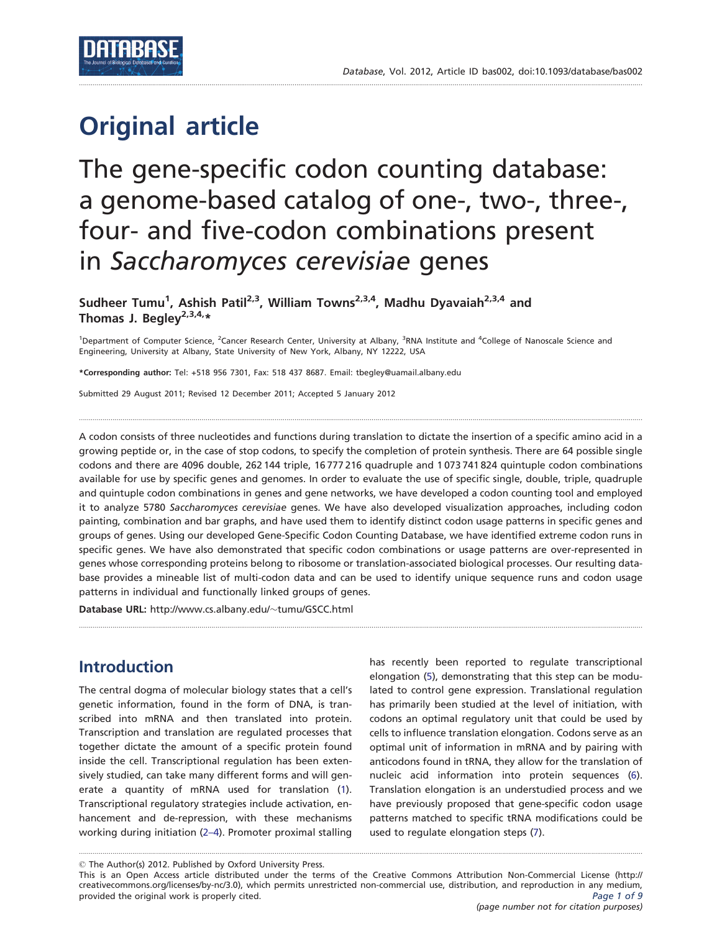# Original article

# The gene-specific codon counting database: a genome-based catalog of one-, two-, three-, four- and five-codon combinations present in Saccharomyces cerevisiae genes

.............................................................................................................................................................................................................................................................................................

Sudheer Tumu<sup>1</sup>, Ashish Patil<sup>2,3</sup>, William Towns<sup>2,3,4</sup>, Madhu Dyavaiah<sup>2,3,4</sup> and Thomas J. Begley<sup>2,3,4,\*</sup>

<sup>1</sup>Department of Computer Science, <sup>2</sup>Cancer Research Center, University at Albany, <sup>3</sup>RNA Institute and <sup>4</sup>College of Nanoscale Science and Engineering, University at Albany, State University of New York, Albany, NY 12222, USA

\*Corresponding author: Tel: +518 956 7301, Fax: 518 437 8687. Email: tbegley@uamail.albany.edu

Submitted 29 August 2011; Revised 12 December 2011; Accepted 5 January 2012

A codon consists of three nucleotides and functions during translation to dictate the insertion of a specific amino acid in a growing peptide or, in the case of stop codons, to specify the completion of protein synthesis. There are 64 possible single codons and there are 4096 double, 262 144 triple, 16 777 216 quadruple and 1 073 741 824 quintuple codon combinations available for use by specific genes and genomes. In order to evaluate the use of specific single, double, triple, quadruple and quintuple codon combinations in genes and gene networks, we have developed a codon counting tool and employed it to analyze 5780 Saccharomyces cerevisiae genes. We have also developed visualization approaches, including codon painting, combination and bar graphs, and have used them to identify distinct codon usage patterns in specific genes and groups of genes. Using our developed Gene-Specific Codon Counting Database, we have identified extreme codon runs in specific genes. We have also demonstrated that specific codon combinations or usage patterns are over-represented in genes whose corresponding proteins belong to ribosome or translation-associated biological processes. Our resulting database provides a mineable list of multi-codon data and can be used to identify unique sequence runs and codon usage patterns in individual and functionally linked groups of genes.

.............................................................................................................................................................................................................................................................................................

.............................................................................................................................................................................................................................................................................................

Database URL: [http://www.cs.albany.edu/](http://www.cs.albany.edu/tumu/GSCC.html)~[tumu/GSCC.html](http://www.cs.albany.edu/tumu/GSCC.html)

## Introduction

The central dogma of molecular biology states that a cell's genetic information, found in the form of DNA, is transcribed into mRNA and then translated into protein. Transcription and translation are regulated processes that together dictate the amount of a specific protein found inside the cell. Transcriptional regulation has been extensively studied, can take many different forms and will generate a quantity of mRNA used for translation ([1\)](#page-8-0). Transcriptional regulatory strategies include activation, enhancement and de-repression, with these mechanisms working during initiation [\(2–4\)](#page-8-0). Promoter proximal stalling

has recently been reported to regulate transcriptional elongation [\(5\)](#page-8-0), demonstrating that this step can be modulated to control gene expression. Translational regulation has primarily been studied at the level of initiation, with codons an optimal regulatory unit that could be used by cells to influence translation elongation. Codons serve as an optimal unit of information in mRNA and by pairing with anticodons found in tRNA, they allow for the translation of nucleic acid information into protein sequences ([6](#page-8-0)). Translation elongation is an understudied process and we have previously proposed that gene-specific codon usage patterns matched to specific tRNA modifications could be used to regulate elongation steps [\(7](#page-8-0)).

 $\copyright$  The Author(s) 2012. Published by Oxford University Press.

This is an Open Access article distributed under the terms of the Creative Commons Attribution Non-Commercial License (http:// creativecommons.org/licenses/by-nc/3.0), which permits unrestricted non-commercial use, distribution, and reproduction in any medium, provided the original work is properly cited. Page 1 of 9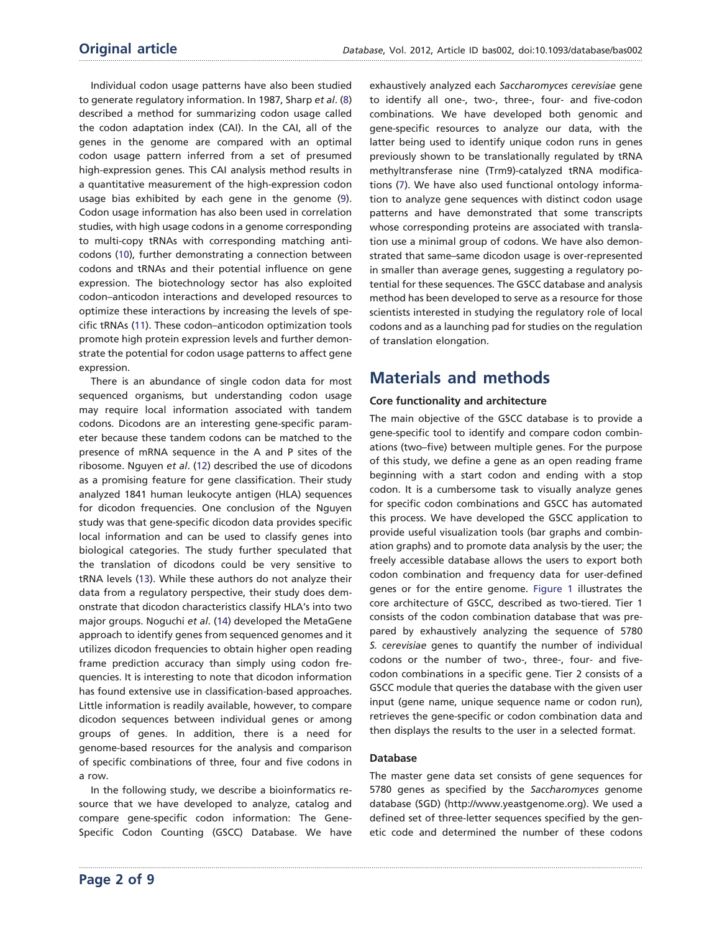Individual codon usage patterns have also been studied to generate regulatory information. In 1987, Sharp et al. [\(8\)](#page-8-0) described a method for summarizing codon usage called the codon adaptation index (CAI). In the CAI, all of the genes in the genome are compared with an optimal codon usage pattern inferred from a set of presumed high-expression genes. This CAI analysis method results in a quantitative measurement of the high-expression codon usage bias exhibited by each gene in the genome ([9\)](#page-8-0). Codon usage information has also been used in correlation studies, with high usage codons in a genome corresponding to multi-copy tRNAs with corresponding matching anticodons [\(10\)](#page-8-0), further demonstrating a connection between codons and tRNAs and their potential influence on gene expression. The biotechnology sector has also exploited codon–anticodon interactions and developed resources to optimize these interactions by increasing the levels of specific tRNAs [\(11](#page-8-0)). These codon–anticodon optimization tools promote high protein expression levels and further demonstrate the potential for codon usage patterns to affect gene expression.

There is an abundance of single codon data for most sequenced organisms, but understanding codon usage may require local information associated with tandem codons. Dicodons are an interesting gene-specific parameter because these tandem codons can be matched to the presence of mRNA sequence in the A and P sites of the ribosome. Nguyen et al. ([12](#page-8-0)) described the use of dicodons as a promising feature for gene classification. Their study analyzed 1841 human leukocyte antigen (HLA) sequences for dicodon frequencies. One conclusion of the Nguyen study was that gene-specific dicodon data provides specific local information and can be used to classify genes into biological categories. The study further speculated that the translation of dicodons could be very sensitive to tRNA levels ([13](#page-8-0)). While these authors do not analyze their data from a regulatory perspective, their study does demonstrate that dicodon characteristics classify HLA's into two major groups. Noguchi et al. ([14](#page-8-0)) developed the MetaGene approach to identify genes from sequenced genomes and it utilizes dicodon frequencies to obtain higher open reading frame prediction accuracy than simply using codon frequencies. It is interesting to note that dicodon information has found extensive use in classification-based approaches. Little information is readily available, however, to compare dicodon sequences between individual genes or among groups of genes. In addition, there is a need for genome-based resources for the analysis and comparison of specific combinations of three, four and five codons in a row.

In the following study, we describe a bioinformatics resource that we have developed to analyze, catalog and compare gene-specific codon information: The Gene-Specific Codon Counting (GSCC) Database. We have

exhaustively analyzed each Saccharomyces cerevisiae gene to identify all one-, two-, three-, four- and five-codon combinations. We have developed both genomic and gene-specific resources to analyze our data, with the latter being used to identify unique codon runs in genes previously shown to be translationally regulated by tRNA methyltransferase nine (Trm9)-catalyzed tRNA modifications ([7](#page-8-0)). We have also used functional ontology information to analyze gene sequences with distinct codon usage patterns and have demonstrated that some transcripts whose corresponding proteins are associated with translation use a minimal group of codons. We have also demonstrated that same–same dicodon usage is over-represented in smaller than average genes, suggesting a regulatory potential for these sequences. The GSCC database and analysis method has been developed to serve as a resource for those scientists interested in studying the regulatory role of local codons and as a launching pad for studies on the regulation of translation elongation.

### Materials and methods

#### Core functionality and architecture

The main objective of the GSCC database is to provide a gene-specific tool to identify and compare codon combinations (two–five) between multiple genes. For the purpose of this study, we define a gene as an open reading frame beginning with a start codon and ending with a stop codon. It is a cumbersome task to visually analyze genes for specific codon combinations and GSCC has automated this process. We have developed the GSCC application to provide useful visualization tools (bar graphs and combination graphs) and to promote data analysis by the user; the freely accessible database allows the users to export both codon combination and frequency data for user-defined genes or for the entire genome. [Figure 1](#page-2-0) illustrates the core architecture of GSCC, described as two-tiered. Tier 1 consists of the codon combination database that was prepared by exhaustively analyzing the sequence of 5780 S. cerevisiae genes to quantify the number of individual codons or the number of two-, three-, four- and fivecodon combinations in a specific gene. Tier 2 consists of a GSCC module that queries the database with the given user input (gene name, unique sequence name or codon run), retrieves the gene-specific or codon combination data and then displays the results to the user in a selected format.

#### Database

.............................................................................................................................................................................................................................................................................................

The master gene data set consists of gene sequences for 5780 genes as specified by the Saccharomyces genome database (SGD) ([http://www.yeastgenome.org\)](http://www.yeastgenome.org). We used a defined set of three-letter sequences specified by the genetic code and determined the number of these codons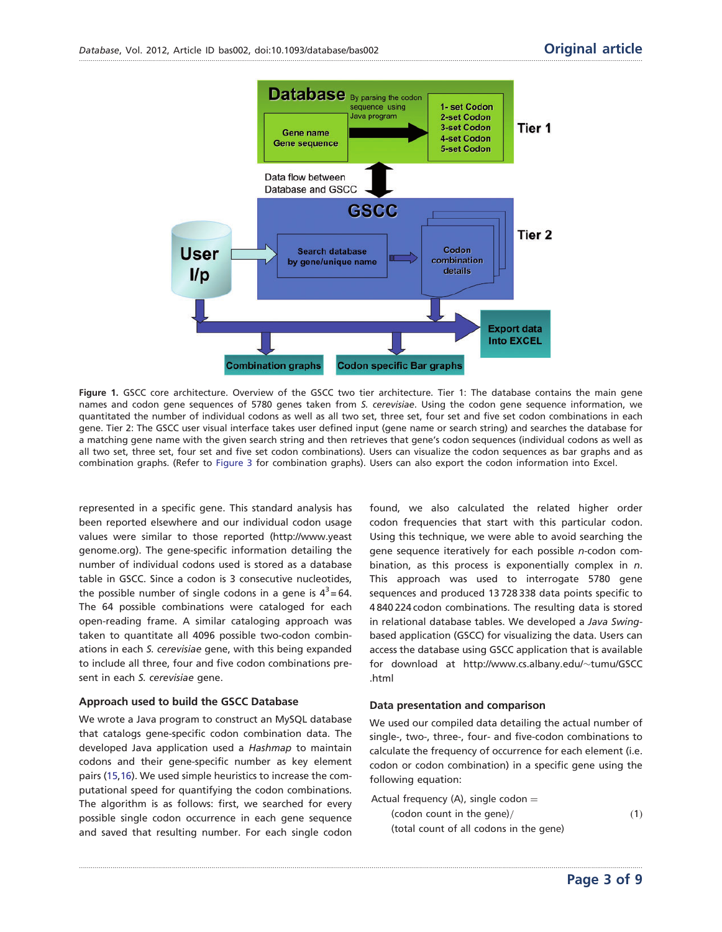<span id="page-2-0"></span>

Figure 1. GSCC core architecture. Overview of the GSCC two tier architecture. Tier 1: The database contains the main gene names and codon gene sequences of 5780 genes taken from S. cerevisiae. Using the codon gene sequence information, we quantitated the number of individual codons as well as all two set, three set, four set and five set codon combinations in each gene. Tier 2: The GSCC user visual interface takes user defined input (gene name or search string) and searches the database for a matching gene name with the given search string and then retrieves that gene's codon sequences (individual codons as well as all two set, three set, four set and five set codon combinations). Users can visualize the codon sequences as bar graphs and as combination graphs. (Refer to [Figure 3](#page-5-0) for combination graphs). Users can also export the codon information into Excel.

.............................................................................................................................................................................................................................................................................................

represented in a specific gene. This standard analysis has been reported elsewhere and our individual codon usage values were similar to those reported ([http://www.yeast](http://www.yeastgenome.org) [genome.org](http://www.yeastgenome.org)). The gene-specific information detailing the number of individual codons used is stored as a database table in GSCC. Since a codon is 3 consecutive nucleotides, the possible number of single codons in a gene is  $4^3 = 64$ . The 64 possible combinations were cataloged for each open-reading frame. A similar cataloging approach was taken to quantitate all 4096 possible two-codon combinations in each S. cerevisiae gene, with this being expanded to include all three, four and five codon combinations present in each S. cerevisiae gene.

#### Approach used to build the GSCC Database

We wrote a Java program to construct an MySQL database that catalogs gene-specific codon combination data. The developed Java application used a Hashmap to maintain codons and their gene-specific number as key element pairs ([15,16\)](#page-8-0). We used simple heuristics to increase the computational speed for quantifying the codon combinations. The algorithm is as follows: first, we searched for every possible single codon occurrence in each gene sequence and saved that resulting number. For each single codon

found, we also calculated the related higher order codon frequencies that start with this particular codon. Using this technique, we were able to avoid searching the gene sequence iteratively for each possible n-codon combination, as this process is exponentially complex in  $n$ . This approach was used to interrogate 5780 gene sequences and produced 13 728 338 data points specific to 4 840 224 codon combinations. The resulting data is stored in relational database tables. We developed a Java Swingbased application (GSCC) for visualizing the data. Users can access the database using GSCC application that is available for download at [http://www.cs.albany.edu/](http://www.cs.albany.edu/tumu/GSCC.html)~[tumu/GSCC](http://www.cs.albany.edu/tumu/GSCC.html) [.html](http://www.cs.albany.edu/tumu/GSCC.html)

#### Data presentation and comparison

We used our compiled data detailing the actual number of single-, two-, three-, four- and five-codon combinations to calculate the frequency of occurrence for each element (i.e. codon or codon combination) in a specific gene using the following equation:

Actual frequency (A), single codon  $=$ (codon count in the gene)/ (total count of all codons in the gene)  $(1)$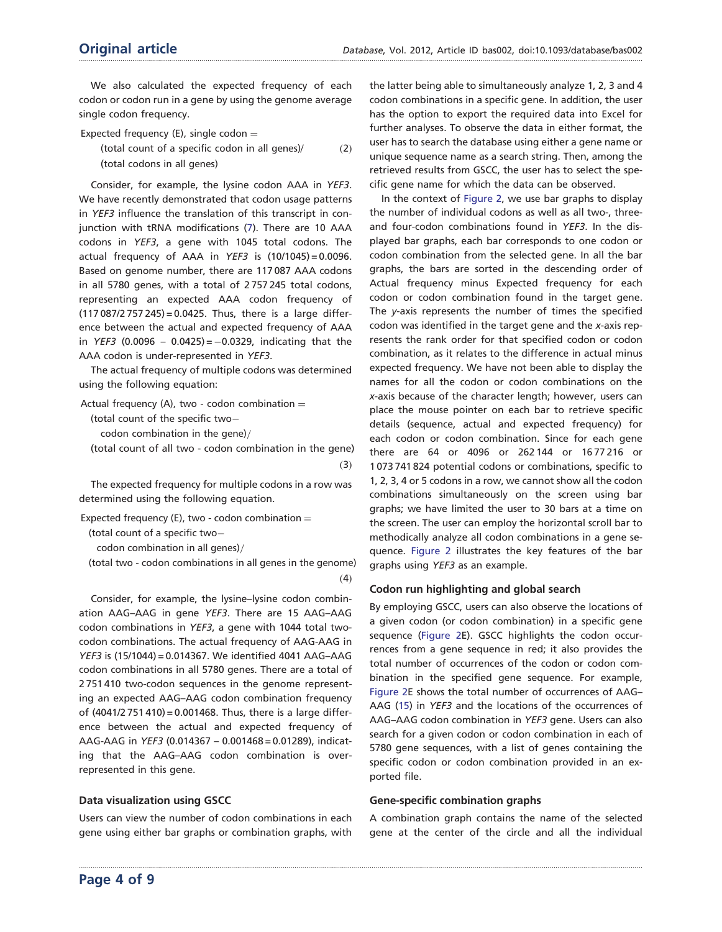We also calculated the expected frequency of each codon or codon run in a gene by using the genome average single codon frequency.

Expected frequency (E), single codon  $=$ 

(total count of a specific codon in all genes)/ (total codons in all genes)  $(2)$ 

Consider, for example, the lysine codon AAA in YEF3. We have recently demonstrated that codon usage patterns in YEF3 influence the translation of this transcript in conjunction with tRNA modifications ([7](#page-8-0)). There are 10 AAA codons in YEF3, a gene with 1045 total codons. The actual frequency of AAA in  $YEF3$  is  $(10/1045) = 0.0096$ . Based on genome number, there are 117 087 AAA codons in all 5780 genes, with a total of 2 757 245 total codons, representing an expected AAA codon frequency of (117 087/2 757 245) = 0.0425. Thus, there is a large difference between the actual and expected frequency of AAA in *YEF3* (0.0096 – 0.0425) =  $-0.0329$ , indicating that the AAA codon is under-represented in YEF3.

The actual frequency of multiple codons was determined using the following equation:

Actual frequency (A), two - codon combination  $=$ (total count of the specific two

codon combination in the gene)/

(total count of all two - codon combination in the gene)  $(3)$ 

The expected frequency for multiple codons in a row was determined using the following equation.

Expected frequency (E), two - codon combination  $=$ 

(total count of a specific two

codon combination in all genes)=

(total two - codon combinations in all genes in the genome)  $(4)$ 

Consider, for example, the lysine–lysine codon combination AAG-AAG in gene YEF3. There are 15 AAG-AAG codon combinations in YEF3, a gene with 1044 total twocodon combinations. The actual frequency of AAG-AAG in YEF3 is (15/1044) = 0.014367. We identified 4041 AAG–AAG codon combinations in all 5780 genes. There are a total of 2 751 410 two-codon sequences in the genome representing an expected AAG–AAG codon combination frequency of (4041/2 751 410) = 0.001468. Thus, there is a large difference between the actual and expected frequency of AAG-AAG in YEF3 (0.014367 – 0.001468 = 0.01289), indicating that the AAG–AAG codon combination is overrepresented in this gene.

#### Data visualization using GSCC

Users can view the number of codon combinations in each gene using either bar graphs or combination graphs, with the latter being able to simultaneously analyze 1, 2, 3 and 4 codon combinations in a specific gene. In addition, the user has the option to export the required data into Excel for further analyses. To observe the data in either format, the user has to search the database using either a gene name or unique sequence name as a search string. Then, among the retrieved results from GSCC, the user has to select the specific gene name for which the data can be observed.

In the context of [Figure 2,](#page-4-0) we use bar graphs to display the number of individual codons as well as all two-, threeand four-codon combinations found in YEF3. In the displayed bar graphs, each bar corresponds to one codon or codon combination from the selected gene. In all the bar graphs, the bars are sorted in the descending order of Actual frequency minus Expected frequency for each codon or codon combination found in the target gene. The y-axis represents the number of times the specified codon was identified in the target gene and the  $x$ -axis represents the rank order for that specified codon or codon combination, as it relates to the difference in actual minus expected frequency. We have not been able to display the names for all the codon or codon combinations on the x-axis because of the character length; however, users can place the mouse pointer on each bar to retrieve specific details (sequence, actual and expected frequency) for each codon or codon combination. Since for each gene there are 64 or 4096 or 262 144 or 16 77 216 or 1 073 741 824 potential codons or combinations, specific to 1, 2, 3, 4 or 5 codons in a row, we cannot show all the codon combinations simultaneously on the screen using bar graphs; we have limited the user to 30 bars at a time on the screen. The user can employ the horizontal scroll bar to methodically analyze all codon combinations in a gene sequence. [Figure 2](#page-4-0) illustrates the key features of the bar graphs using YEF3 as an example.

#### Codon run highlighting and global search

By employing GSCC, users can also observe the locations of a given codon (or codon combination) in a specific gene sequence [\(Figure 2E](#page-4-0)). GSCC highlights the codon occurrences from a gene sequence in red; it also provides the total number of occurrences of the codon or codon combination in the specified gene sequence. For example, [Figure 2E](#page-4-0) shows the total number of occurrences of AAG– AAG ([15](#page-8-0)) in YEF3 and the locations of the occurrences of AAG–AAG codon combination in YEF3 gene. Users can also search for a given codon or codon combination in each of 5780 gene sequences, with a list of genes containing the specific codon or codon combination provided in an exported file.

#### Gene-specific combination graphs

.............................................................................................................................................................................................................................................................................................

A combination graph contains the name of the selected gene at the center of the circle and all the individual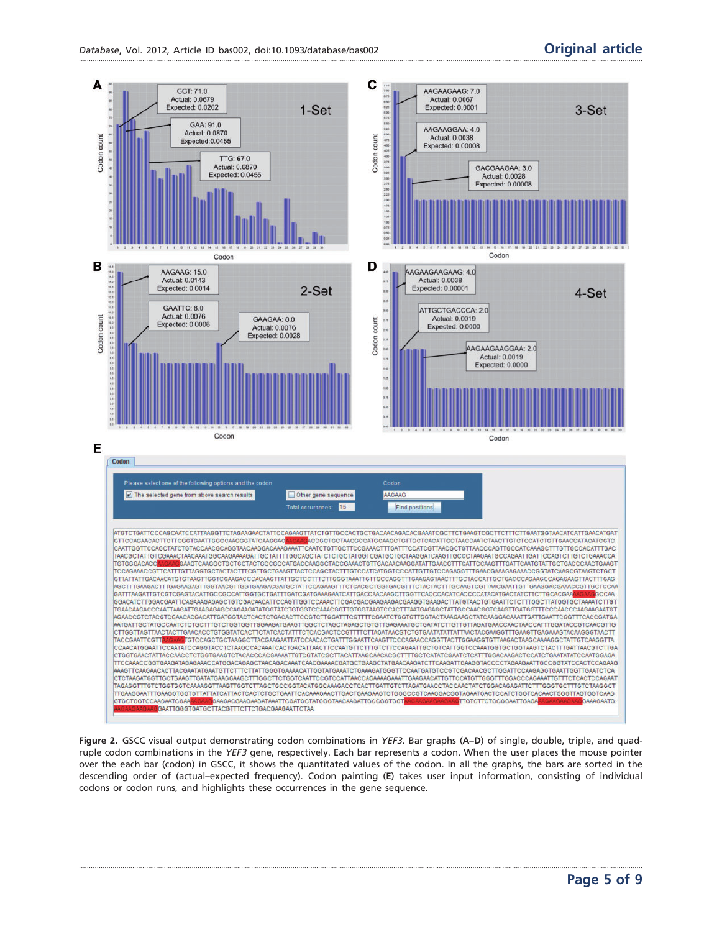<span id="page-4-0"></span>

Figure 2. GSCC visual output demonstrating codon combinations in YEF3. Bar graphs (A–D) of single, double, triple, and quadruple codon combinations in the YEF3 gene, respectively. Each bar represents a codon. When the user places the mouse pointer over the each bar (codon) in GSCC, it shows the quantitated values of the codon. In all the graphs, the bars are sorted in the descending order of (actual–expected frequency). Codon painting (E) takes user input information, consisting of individual codons or codon runs, and highlights these occurrences in the gene sequence.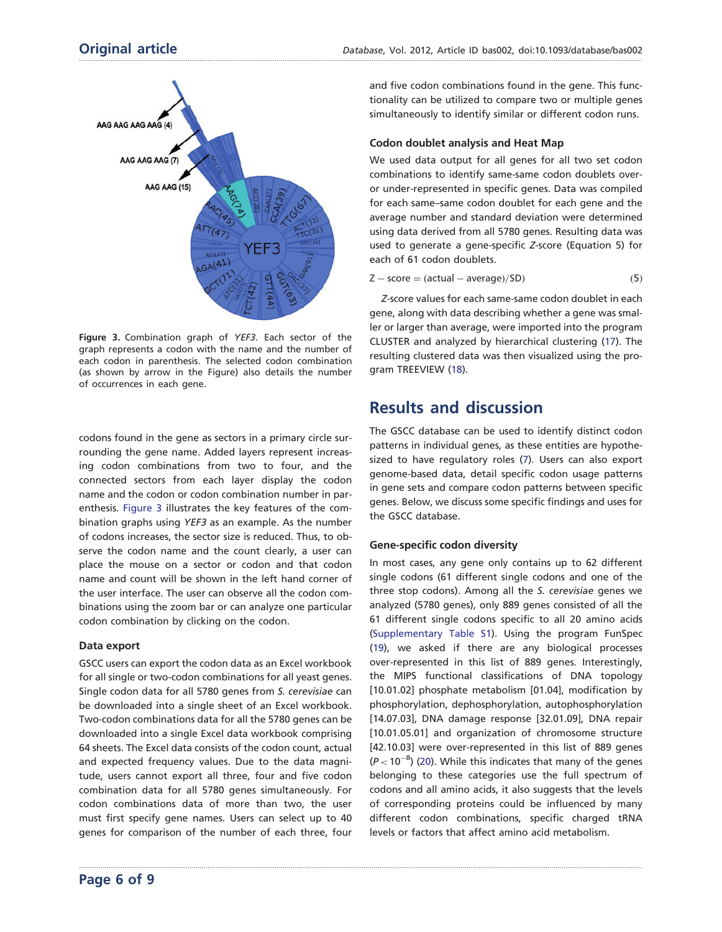<span id="page-5-0"></span>

Figure 3. Combination graph of YEF3. Each sector of the graph represents a codon with the name and the number of each codon in parenthesis. The selected codon combination (as shown by arrow in the Figure) also details the number of occurrences in each gene.

codons found in the gene as sectors in a primary circle surrounding the gene name. Added layers represent increasing codon combinations from two to four, and the connected sectors from each layer display the codon name and the codon or codon combination number in parenthesis. Figure 3 illustrates the key features of the combination graphs using YEF3 as an example. As the number of codons increases, the sector size is reduced. Thus, to observe the codon name and the count clearly, a user can place the mouse on a sector or codon and that codon name and count will be shown in the left hand corner of the user interface. The user can observe all the codon combinations using the zoom bar or can analyze one particular codon combination by clicking on the codon.

#### Data export

GSCC users can export the codon data as an Excel workbook for all single or two-codon combinations for all yeast genes. Single codon data for all 5780 genes from S. cerevisiae can be downloaded into a single sheet of an Excel workbook. Two-codon combinations data for all the 5780 genes can be downloaded into a single Excel data workbook comprising 64 sheets. The Excel data consists of the codon count, actual and expected frequency values. Due to the data magnitude, users cannot export all three, four and five codon combination data for all 5780 genes simultaneously. For codon combinations data of more than two, the user must first specify gene names. Users can select up to 40 genes for comparison of the number of each three, four and five codon combinations found in the gene. This functionality can be utilized to compare two or multiple genes simultaneously to identify similar or different codon runs.

#### Codon doublet analysis and Heat Map

We used data output for all genes for all two set codon combinations to identify same-same codon doublets overor under-represented in specific genes. Data was compiled for each same–same codon doublet for each gene and the average number and standard deviation were determined using data derived from all 5780 genes. Resulting data was used to generate a gene-specific Z-score (Equation 5) for each of 61 codon doublets.

$$
Z - score = (actual - average)/SD)
$$
 (5)

Z-score values for each same-same codon doublet in each gene, along with data describing whether a gene was smaller or larger than average, were imported into the program CLUSTER and analyzed by hierarchical clustering [\(17](#page-8-0)). The resulting clustered data was then visualized using the program TREEVIEW ([18](#page-8-0)).

## Results and discussion

The GSCC database can be used to identify distinct codon patterns in individual genes, as these entities are hypothesized to have regulatory roles ([7](#page-8-0)). Users can also export genome-based data, detail specific codon usage patterns in gene sets and compare codon patterns between specific genes. Below, we discuss some specific findings and uses for the GSCC database.

#### Gene-specific codon diversity

.............................................................................................................................................................................................................................................................................................

In most cases, any gene only contains up to 62 different single codons (61 different single codons and one of the three stop codons). Among all the S. cerevisiae genes we analyzed (5780 genes), only 889 genes consisted of all the 61 different single codons specific to all 20 amino acids [\(Supplementary Table S1](http://database.oxfordjournals.org/cgi/content/full/bas002/DC1)). Using the program FunSpec [\(19\)](#page-8-0), we asked if there are any biological processes over-represented in this list of 889 genes. Interestingly, the MIPS functional classifications of DNA topology [10.01.02] phosphate metabolism [01.04], modification by phosphorylation, dephosphorylation, autophosphorylation [14.07.03], DNA damage response [32.01.09], DNA repair [10.01.05.01] and organization of chromosome structure [42.10.03] were over-represented in this list of 889 genes  $(P < 10^{-8})$  [\(20\)](#page-8-0). While this indicates that many of the genes belonging to these categories use the full spectrum of codons and all amino acids, it also suggests that the levels of corresponding proteins could be influenced by many different codon combinations, specific charged tRNA levels or factors that affect amino acid metabolism.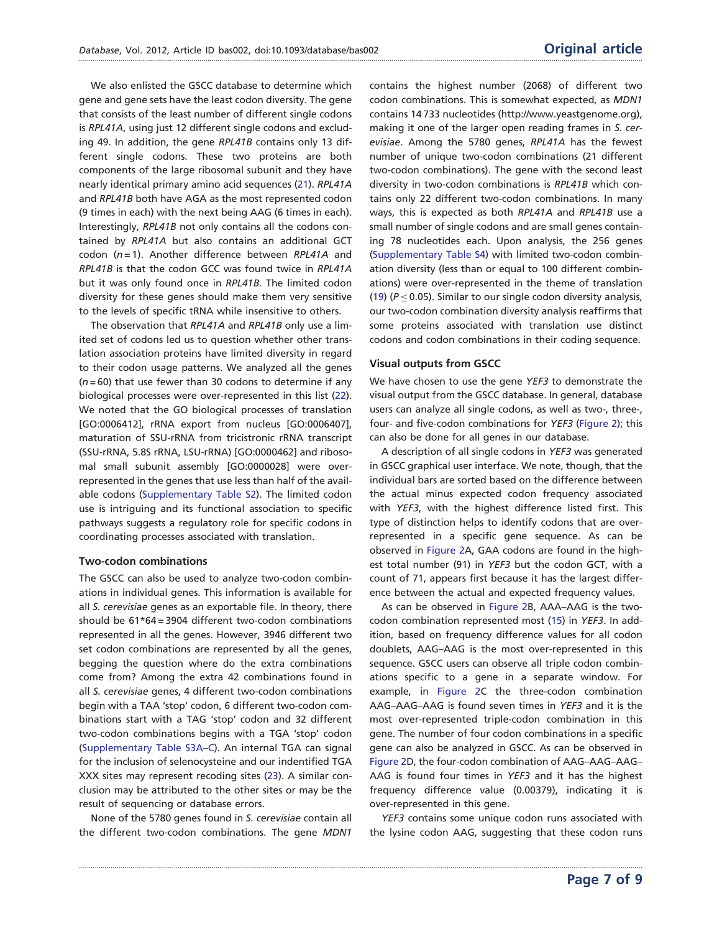We also enlisted the GSCC database to determine which gene and gene sets have the least codon diversity. The gene that consists of the least number of different single codons is RPL41A, using just 12 different single codons and excluding 49. In addition, the gene RPL41B contains only 13 different single codons. These two proteins are both components of the large ribosomal subunit and they have nearly identical primary amino acid sequences [\(21\)](#page-8-0). RPL41A and RPL41B both have AGA as the most represented codon (9 times in each) with the next being AAG (6 times in each). Interestingly, RPL41B not only contains all the codons contained by RPL41A but also contains an additional GCT codon ( $n = 1$ ). Another difference between RPL41A and RPL41B is that the codon GCC was found twice in RPL41A but it was only found once in RPL41B. The limited codon diversity for these genes should make them very sensitive to the levels of specific tRNA while insensitive to others.

The observation that RPL41A and RPL41B only use a limited set of codons led us to question whether other translation association proteins have limited diversity in regard to their codon usage patterns. We analyzed all the genes  $(n=60)$  that use fewer than 30 codons to determine if any biological processes were over-represented in this list [\(22\)](#page-8-0). We noted that the GO biological processes of translation [GO:0006412], rRNA export from nucleus [GO:0006407], maturation of SSU-rRNA from tricistronic rRNA transcript (SSU-rRNA, 5.8S rRNA, LSU-rRNA) [GO:0000462] and ribosomal small subunit assembly [GO:0000028] were overrepresented in the genes that use less than half of the available codons ([Supplementary Table S2](http://database.oxfordjournals.org/cgi/content/full/bas002/DC1)). The limited codon use is intriguing and its functional association to specific pathways suggests a regulatory role for specific codons in coordinating processes associated with translation.

#### Two-codon combinations

The GSCC can also be used to analyze two-codon combinations in individual genes. This information is available for all S. cerevisiae genes as an exportable file. In theory, there should be 61\*64 = 3904 different two-codon combinations represented in all the genes. However, 3946 different two set codon combinations are represented by all the genes, begging the question where do the extra combinations come from? Among the extra 42 combinations found in all S. cerevisiae genes, 4 different two-codon combinations begin with a TAA 'stop' codon, 6 different two-codon combinations start with a TAG 'stop' codon and 32 different two-codon combinations begins with a TGA 'stop' codon ([Supplementary Table S3A–C\)](http://database.oxfordjournals.org/cgi/content/full/bas002/DC1). An internal TGA can signal for the inclusion of selenocysteine and our indentified TGA XXX sites may represent recoding sites ([23](#page-8-0)). A similar conclusion may be attributed to the other sites or may be the result of sequencing or database errors.

None of the 5780 genes found in S. cerevisiae contain all the different two-codon combinations. The gene MDN1

.............................................................................................................................................................................................................................................................................................

contains the highest number (2068) of different two codon combinations. This is somewhat expected, as MDN1 contains 14 733 nucleotides [\(http://www.yeastgenome.org](http://www.yeastgenome.org)), making it one of the larger open reading frames in S. cerevisiae. Among the 5780 genes, RPL41A has the fewest number of unique two-codon combinations (21 different two-codon combinations). The gene with the second least diversity in two-codon combinations is RPL41B which contains only 22 different two-codon combinations. In many ways, this is expected as both RPL41A and RPL41B use a small number of single codons and are small genes containing 78 nucleotides each. Upon analysis, the 256 genes [\(Supplementary Table S4\)](http://database.oxfordjournals.org/cgi/content/full/bas002/DC1) with limited two-codon combination diversity (less than or equal to 100 different combinations) were over-represented in the theme of translation [\(19\)](#page-8-0) ( $P < 0.05$ ). Similar to our single codon diversity analysis, our two-codon combination diversity analysis reaffirms that some proteins associated with translation use distinct codons and codon combinations in their coding sequence.

#### Visual outputs from GSCC

We have chosen to use the gene YEF3 to demonstrate the visual output from the GSCC database. In general, database users can analyze all single codons, as well as two-, three-, four- and five-codon combinations for YEF3 ([Figure 2\)](#page-4-0); this can also be done for all genes in our database.

A description of all single codons in YEF3 was generated in GSCC graphical user interface. We note, though, that the individual bars are sorted based on the difference between the actual minus expected codon frequency associated with YEF3, with the highest difference listed first. This type of distinction helps to identify codons that are overrepresented in a specific gene sequence. As can be observed in [Figure 2](#page-4-0)A, GAA codons are found in the highest total number (91) in YEF3 but the codon GCT, with a count of 71, appears first because it has the largest difference between the actual and expected frequency values.

As can be observed in [Figure 2B](#page-4-0), AAA–AAG is the twocodon combination represented most ([15](#page-8-0)) in YEF3. In addition, based on frequency difference values for all codon doublets, AAG–AAG is the most over-represented in this sequence. GSCC users can observe all triple codon combinations specific to a gene in a separate window. For example, in [Figure 2C](#page-4-0) the three-codon combination AAG–AAG–AAG is found seven times in YEF3 and it is the most over-represented triple-codon combination in this gene. The number of four codon combinations in a specific gene can also be analyzed in GSCC. As can be observed in [Figure 2D](#page-4-0), the four-codon combination of AAG–AAG–AAG– AAG is found four times in YEF3 and it has the highest frequency difference value (0.00379), indicating it is over-represented in this gene.

YEF3 contains some unique codon runs associated with the lysine codon AAG, suggesting that these codon runs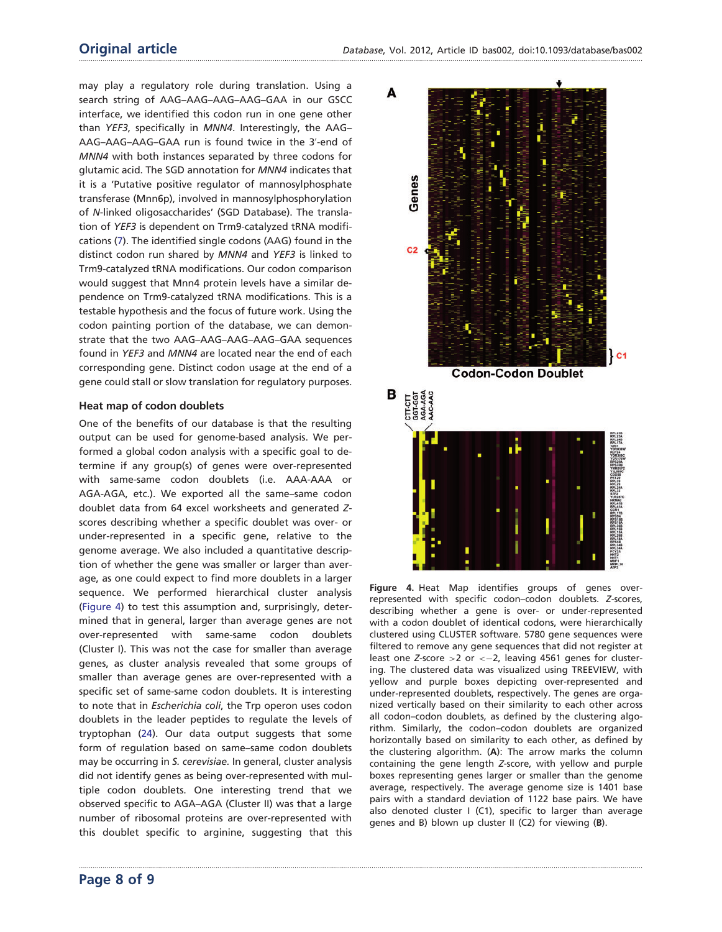may play a regulatory role during translation. Using a search string of AAG–AAG–AAG–AAG–GAA in our GSCC interface, we identified this codon run in one gene other than YEF3, specifically in MNN4. Interestingly, the AAG-AAG-AAG-AAG-GAA run is found twice in the 3'-end of MNN4 with both instances separated by three codons for glutamic acid. The SGD annotation for MNN4 indicates that it is a 'Putative positive regulator of mannosylphosphate transferase (Mnn6p), involved in mannosylphosphorylation of N-linked oligosaccharides' (SGD Database). The translation of YEF3 is dependent on Trm9-catalyzed tRNA modifications ([7](#page-8-0)). The identified single codons (AAG) found in the distinct codon run shared by MNN4 and YEF3 is linked to Trm9-catalyzed tRNA modifications. Our codon comparison would suggest that Mnn4 protein levels have a similar dependence on Trm9-catalyzed tRNA modifications. This is a testable hypothesis and the focus of future work. Using the codon painting portion of the database, we can demonstrate that the two AAG–AAG–AAG–AAG–GAA sequences found in YEF3 and MNN4 are located near the end of each corresponding gene. Distinct codon usage at the end of a gene could stall or slow translation for regulatory purposes.

#### Heat map of codon doublets

One of the benefits of our database is that the resulting output can be used for genome-based analysis. We performed a global codon analysis with a specific goal to determine if any group(s) of genes were over-represented with same-same codon doublets (i.e. AAA-AAA or AGA-AGA, etc.). We exported all the same–same codon doublet data from 64 excel worksheets and generated Zscores describing whether a specific doublet was over- or under-represented in a specific gene, relative to the genome average. We also included a quantitative description of whether the gene was smaller or larger than average, as one could expect to find more doublets in a larger sequence. We performed hierarchical cluster analysis (Figure 4) to test this assumption and, surprisingly, determined that in general, larger than average genes are not over-represented with same-same codon doublets (Cluster I). This was not the case for smaller than average genes, as cluster analysis revealed that some groups of smaller than average genes are over-represented with a specific set of same-same codon doublets. It is interesting to note that in Escherichia coli, the Trp operon uses codon doublets in the leader peptides to regulate the levels of tryptophan ([24](#page-8-0)). Our data output suggests that some form of regulation based on same–same codon doublets may be occurring in S. cerevisiae. In general, cluster analysis did not identify genes as being over-represented with multiple codon doublets. One interesting trend that we observed specific to AGA–AGA (Cluster II) was that a large number of ribosomal proteins are over-represented with this doublet specific to arginine, suggesting that this



Figure 4. Heat Map identifies groups of genes overrepresented with specific codon–codon doublets. Z-scores, describing whether a gene is over- or under-represented with a codon doublet of identical codons, were hierarchically clustered using CLUSTER software. 5780 gene sequences were filtered to remove any gene sequences that did not register at least one Z-score  $>2$  or  $<-2$ , leaving 4561 genes for clustering. The clustered data was visualized using TREEVIEW, with yellow and purple boxes depicting over-represented and under-represented doublets, respectively. The genes are organized vertically based on their similarity to each other across all codon–codon doublets, as defined by the clustering algorithm. Similarly, the codon–codon doublets are organized horizontally based on similarity to each other, as defined by the clustering algorithm. (A): The arrow marks the column containing the gene length Z-score, with yellow and purple boxes representing genes larger or smaller than the genome average, respectively. The average genome size is 1401 base pairs with a standard deviation of 1122 base pairs. We have also denoted cluster I (C1), specific to larger than average genes and B) blown up cluster II (C2) for viewing (B).